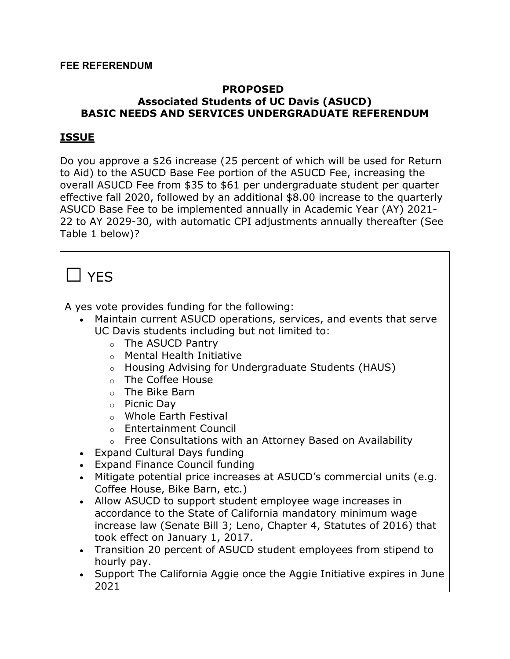#### **PROPOSED Associated Students of UC Davis (ASUCD) BASIC NEEDS AND SERVICES UNDERGRADUATE REFERENDUM**

### **ISSUE**

Do you approve a \$26 increase (25 percent of which will be used for Return to Aid) to the ASUCD Base Fee portion of the ASUCD Fee, increasing the overall ASUCD Fee from \$35 to \$61 per undergraduate student per quarter effective fall 2020, followed by an additional \$8.00 increase to the quarterly ASUCD Base Fee to be implemented annually in Academic Year (AY) 2021- 22 to AY 2029-30, with automatic CPI adjustments annually thereafter (See Table 1 below)?

## $\Box$  YFS

A yes vote provides funding for the following:

- Maintain current ASUCD operations, services, and events that serve UC Davis students including but not limited to:
	- o The ASUCD Pantry
	- o Mental Health Initiative
	- o Housing Advising for Undergraduate Students (HAUS)
	- o The Coffee House
	- o The Bike Barn
	- o Picnic Day
	- o Whole Earth Festival
	- o Entertainment Council
	- o Free Consultations with an Attorney Based on Availability
- Expand Cultural Days funding
- Expand Finance Council funding
- Mitigate potential price increases at ASUCD's commercial units (e.g. Coffee House, Bike Barn, etc.)
- Allow ASUCD to support student employee wage increases in accordance to the State of California mandatory minimum wage increase law (Senate Bill 3; Leno, Chapter 4, Statutes of 2016) that took effect on January 1, 2017.
- Transition 20 percent of ASUCD student employees from stipend to hourly pay.
- Support The California Aggie once the Aggie Initiative expires in June 2021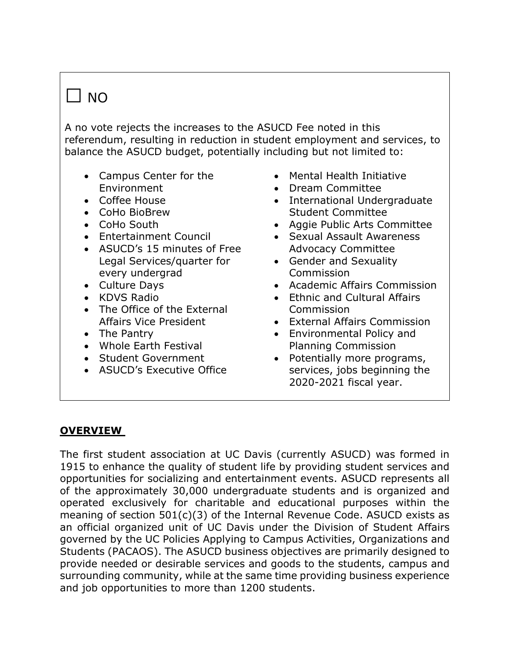# $\Box$  NO

A no vote rejects the increases to the ASUCD Fee noted in this referendum, resulting in reduction in student employment and services, to balance the ASUCD budget, potentially including but not limited to:

- Campus Center for the Environment
- Coffee House
- CoHo BioBrew
- CoHo South
- Entertainment Council
- $\bullet$  ASUCD's 15 minutes of Free Legal Services/quarter for every undergrad
- Culture Days
- KDVS Radio
- The Office of the External Affairs Vice President
- The Pantry
- Whole Earth Festival
- Student Government
- ASUCD's Executive Office
- Mental Health Initiative
- Dream Committee
- International Undergraduate Student Committee
- Aggie Public Arts Committee
- Sexual Assault Awareness Advocacy Committee
- Gender and Sexuality **Commission**
- Academic Affairs Commission
- Ethnic and Cultural Affairs **Commission**
- External Affairs Commission
- Environmental Policy and Planning Commission
- Potentially more programs, services, jobs beginning the 2020-2021 fiscal year.

### **OVERVIEW**

The first student association at UC Davis (currently ASUCD) was formed in 1915 to enhance the quality of student life by providing student services and opportunities for socializing and entertainment events. ASUCD represents all of the approximately 30,000 undergraduate students and is organized and operated exclusively for charitable and educational purposes within the meaning of section 501(c)(3) of the Internal Revenue Code. ASUCD exists as an official organized unit of UC Davis under the Division of Student Affairs governed by the UC Policies Applying to Campus Activities, Organizations and Students (PACAOS). The ASUCD business objectives are primarily designed to provide needed or desirable services and goods to the students, campus and surrounding community, while at the same time providing business experience and job opportunities to more than 1200 students.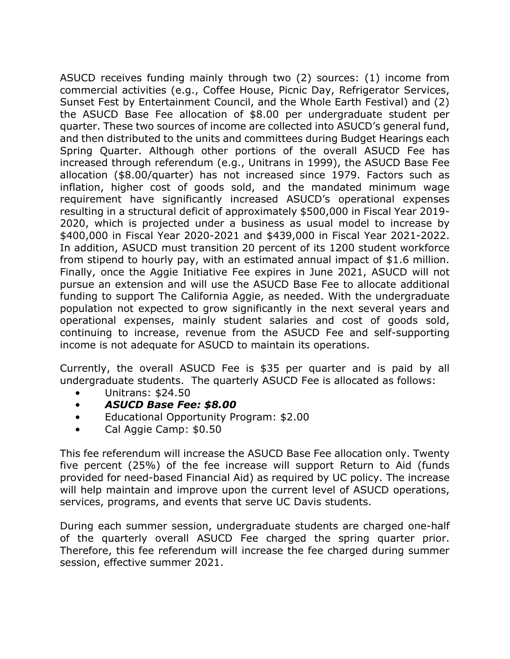ASUCD receives funding mainly through two (2) sources: (1) income from commercial activities (e.g., Coffee House, Picnic Day, Refrigerator Services, Sunset Fest by Entertainment Council, and the Whole Earth Festival) and (2) the ASUCD Base Fee allocation of \$8.00 per undergraduate student per guarter. These two sources of income are collected into ASUCD's general fund, and then distributed to the units and committees during Budget Hearings each Spring Quarter. Although other portions of the overall ASUCD Fee has increased through referendum (e.g., Unitrans in 1999), the ASUCD Base Fee allocation (\$8.00/quarter) has not increased since 1979. Factors such as inflation, higher cost of goods sold, and the mandated minimum wage requirement have significantly increased ASUCD's operational expenses resulting in a structural deficit of approximately \$500,000 in Fiscal Year 2019- 2020, which is projected under a business as usual model to increase by \$400,000 in Fiscal Year 2020-2021 and \$439,000 in Fiscal Year 2021-2022. In addition, ASUCD must transition 20 percent of its 1200 student workforce from stipend to hourly pay, with an estimated annual impact of \$1.6 million. Finally, once the Aggie Initiative Fee expires in June 2021, ASUCD will not pursue an extension and will use the ASUCD Base Fee to allocate additional funding to support The California Aggie, as needed. With the undergraduate population not expected to grow significantly in the next several years and operational expenses, mainly student salaries and cost of goods sold, continuing to increase, revenue from the ASUCD Fee and self-supporting income is not adequate for ASUCD to maintain its operations.

Currently, the overall ASUCD Fee is \$35 per quarter and is paid by all undergraduate students. The quarterly ASUCD Fee is allocated as follows:

- Unitrans: \$24.50
- *ASUCD Base Fee: \$8.00*
- Educational Opportunity Program: \$2.00
- Cal Aggie Camp: \$0.50

This fee referendum will increase the ASUCD Base Fee allocation only. Twenty five percent (25%) of the fee increase will support Return to Aid (funds provided for need-based Financial Aid) as required by UC policy. The increase will help maintain and improve upon the current level of ASUCD operations, services, programs, and events that serve UC Davis students.

During each summer session, undergraduate students are charged one-half of the quarterly overall ASUCD Fee charged the spring quarter prior. Therefore, this fee referendum will increase the fee charged during summer session, effective summer 2021.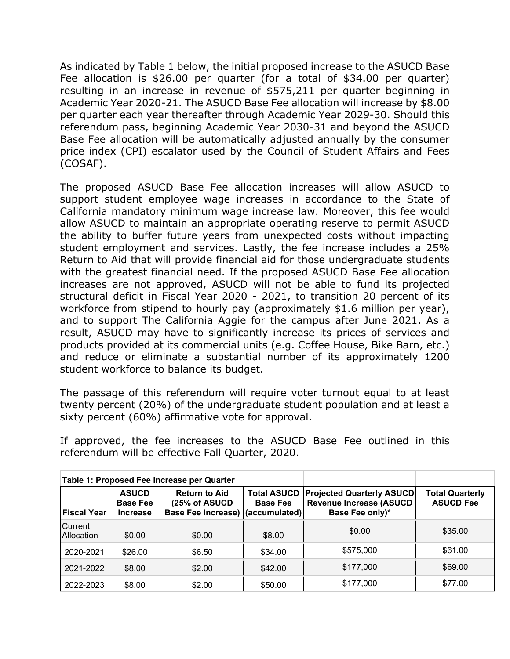As indicated by Table 1 below, the initial proposed increase to the ASUCD Base Fee allocation is \$26.00 per quarter (for a total of \$34.00 per quarter) resulting in an increase in revenue of \$575,211 per quarter beginning in Academic Year 2020-21. The ASUCD Base Fee allocation will increase by \$8.00 per quarter each year thereafter through Academic Year 2029-30. Should this referendum pass, beginning Academic Year 2030-31 and beyond the ASUCD Base Fee allocation will be automatically adjusted annually by the consumer price index (CPI) escalator used by the Council of Student Affairs and Fees (COSAF).

The proposed ASUCD Base Fee allocation increases will allow ASUCD to support student employee wage increases in accordance to the State of California mandatory minimum wage increase law. Moreover, this fee would allow ASUCD to maintain an appropriate operating reserve to permit ASUCD the ability to buffer future years from unexpected costs without impacting student employment and services. Lastly, the fee increase includes a 25% Return to Aid that will provide financial aid for those undergraduate students with the greatest financial need. If the proposed ASUCD Base Fee allocation increases are not approved, ASUCD will not be able to fund its projected structural deficit in Fiscal Year 2020 - 2021, to transition 20 percent of its workforce from stipend to hourly pay (approximately \$1.6 million per year), and to support The California Aggie for the campus after June 2021. As a result, ASUCD may have to significantly increase its prices of services and products provided at its commercial units (e.g. Coffee House, Bike Barn, etc.) and reduce or eliminate a substantial number of its approximately 1200 student workforce to balance its budget.

The passage of this referendum will require voter turnout equal to at least twenty percent (20%) of the undergraduate student population and at least a sixty percent (60%) affirmative vote for approval.

If approved, the fee increases to the ASUCD Base Fee outlined in this referendum will be effective Fall Quarter, 2020.

|                       |                                                    | Table 1: Proposed Fee Increase per Quarter                                |                                       |                                                                                       |                                            |
|-----------------------|----------------------------------------------------|---------------------------------------------------------------------------|---------------------------------------|---------------------------------------------------------------------------------------|--------------------------------------------|
| <b>Fiscal Year</b>    | <b>ASUCD</b><br><b>Base Fee</b><br><b>Increase</b> | <b>Return to Aid</b><br>(25% of ASUCD<br>Base Fee Increase) (accumulated) | <b>Total ASUCD</b><br><b>Base Fee</b> | <b>Projected Quarterly ASUCD</b><br><b>Revenue Increase (ASUCD</b><br>Base Fee only)* | <b>Total Quarterly</b><br><b>ASUCD Fee</b> |
| Current<br>Allocation | \$0.00                                             | \$0.00                                                                    | \$8.00                                | \$0.00                                                                                | \$35.00                                    |
| 2020-2021             | \$26.00                                            | \$6.50                                                                    | \$34.00                               | \$575,000                                                                             | \$61.00                                    |
| 2021-2022             | \$8.00                                             | \$2.00                                                                    | \$42.00                               | \$177,000                                                                             | \$69.00                                    |
| 2022-2023             | \$8.00                                             | \$2.00                                                                    | \$50.00                               | \$177,000                                                                             | \$77.00                                    |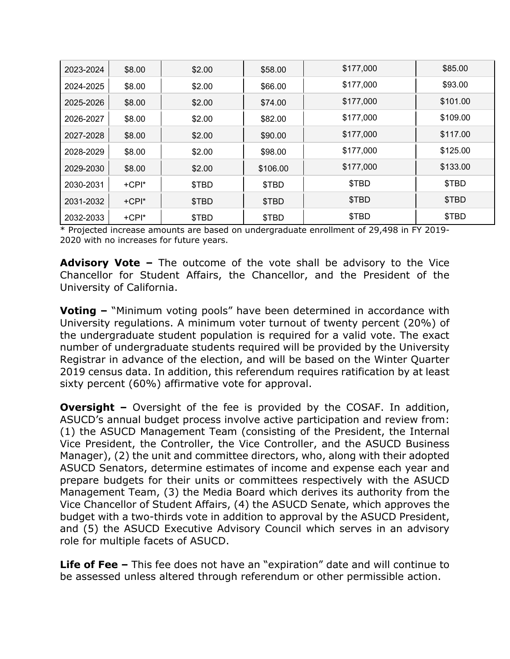| 2023-2024 | \$8.00  | \$2.00 | \$58.00  | \$177,000 | \$85.00  |
|-----------|---------|--------|----------|-----------|----------|
| 2024-2025 | \$8.00  | \$2.00 | \$66.00  | \$177,000 | \$93.00  |
| 2025-2026 | \$8.00  | \$2.00 | \$74.00  | \$177,000 | \$101.00 |
| 2026-2027 | \$8.00  | \$2.00 | \$82.00  | \$177,000 | \$109.00 |
| 2027-2028 | \$8.00  | \$2.00 | \$90.00  | \$177,000 | \$117.00 |
| 2028-2029 | \$8.00  | \$2.00 | \$98.00  | \$177,000 | \$125.00 |
| 2029-2030 | \$8.00  | \$2.00 | \$106.00 | \$177,000 | \$133.00 |
| 2030-2031 | $+CPI*$ | \$TBD  | \$TBD    | \$TBD     | \$TBD    |
| 2031-2032 | $+CPI*$ | \$TBD  | \$TBD    | \$TBD     | \$TBD    |
| 2032-2033 | $+CPI*$ | \$TBD  | \$TBD    | \$TBD     | \$TBD    |

\* Projected increase amounts are based on undergraduate enrollment of 29,498 in FY 2019-2020 with no increases for future years.

**Advisory Vote –** The outcome of the vote shall be advisory to the Vice Chancellor for Student Affairs, the Chancellor, and the President of the University of California.

**Voting –** "Minimum voting pools" have been determined in accordance with University regulations. A minimum voter turnout of twenty percent (20%) of the undergraduate student population is required for a valid vote. The exact number of undergraduate students required will be provided by the University Registrar in advance of the election, and will be based on the Winter Quarter 2019 census data. In addition, this referendum requires ratification by at least sixty percent (60%) affirmative vote for approval.

**Oversight –** Oversight of the fee is provided by the COSAF. In addition, ASUCD's annual budget process involve active participation and review from: (1) the ASUCD Management Team (consisting of the President, the Internal Vice President, the Controller, the Vice Controller, and the ASUCD Business Manager), (2) the unit and committee directors, who, along with their adopted ASUCD Senators, determine estimates of income and expense each year and prepare budgets for their units or committees respectively with the ASUCD Management Team, (3) the Media Board which derives its authority from the Vice Chancellor of Student Affairs, (4) the ASUCD Senate, which approves the budget with a two-thirds vote in addition to approval by the ASUCD President, and (5) the ASUCD Executive Advisory Council which serves in an advisory role for multiple facets of ASUCD.

**Life of Fee –** This fee does not have an "expiration" date and will continue to be assessed unless altered through referendum or other permissible action.